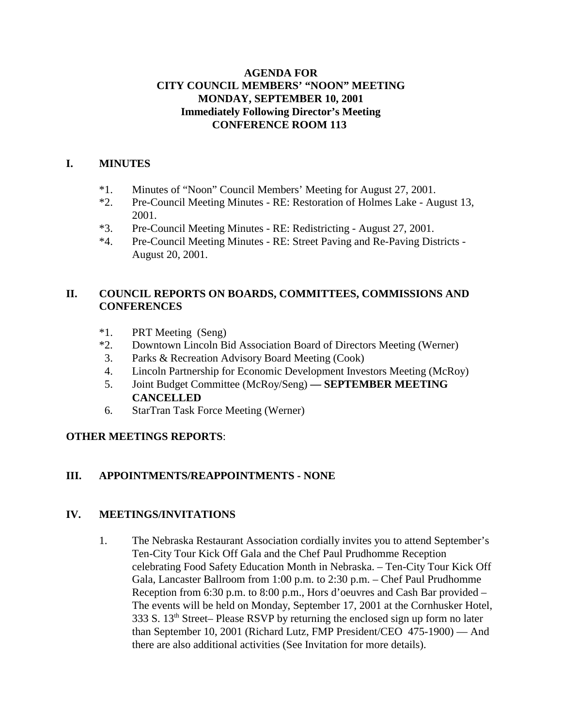## **AGENDA FOR CITY COUNCIL MEMBERS' "NOON" MEETING MONDAY, SEPTEMBER 10, 2001 Immediately Following Director's Meeting CONFERENCE ROOM 113**

## **I. MINUTES**

- \*1. Minutes of "Noon" Council Members' Meeting for August 27, 2001.
- \*2. Pre-Council Meeting Minutes RE: Restoration of Holmes Lake August 13, 2001.
- \*3. Pre-Council Meeting Minutes RE: Redistricting August 27, 2001.
- \*4. Pre-Council Meeting Minutes RE: Street Paving and Re-Paving Districts August 20, 2001.

## **II. COUNCIL REPORTS ON BOARDS, COMMITTEES, COMMISSIONS AND CONFERENCES**

- \*1. PRT Meeting (Seng)
- \*2. Downtown Lincoln Bid Association Board of Directors Meeting (Werner)
- 3. Parks & Recreation Advisory Board Meeting (Cook)
- 4. Lincoln Partnership for Economic Development Investors Meeting (McRoy)
- 5. Joint Budget Committee (McRoy/Seng)  **SEPTEMBER MEETING CANCELLED**
- 6. StarTran Task Force Meeting (Werner)

## **OTHER MEETINGS REPORTS**:

## **III. APPOINTMENTS/REAPPOINTMENTS - NONE**

#### **IV. MEETINGS/INVITATIONS**

1. The Nebraska Restaurant Association cordially invites you to attend September's Ten-City Tour Kick Off Gala and the Chef Paul Prudhomme Reception celebrating Food Safety Education Month in Nebraska. – Ten-City Tour Kick Off Gala, Lancaster Ballroom from 1:00 p.m. to 2:30 p.m. – Chef Paul Prudhomme Reception from 6:30 p.m. to 8:00 p.m., Hors d'oeuvres and Cash Bar provided – The events will be held on Monday, September 17, 2001 at the Cornhusker Hotel, 333 S. 13th Street– Please RSVP by returning the enclosed sign up form no later than September 10, 2001 (Richard Lutz, FMP President/CEO 475-1900) — And there are also additional activities (See Invitation for more details).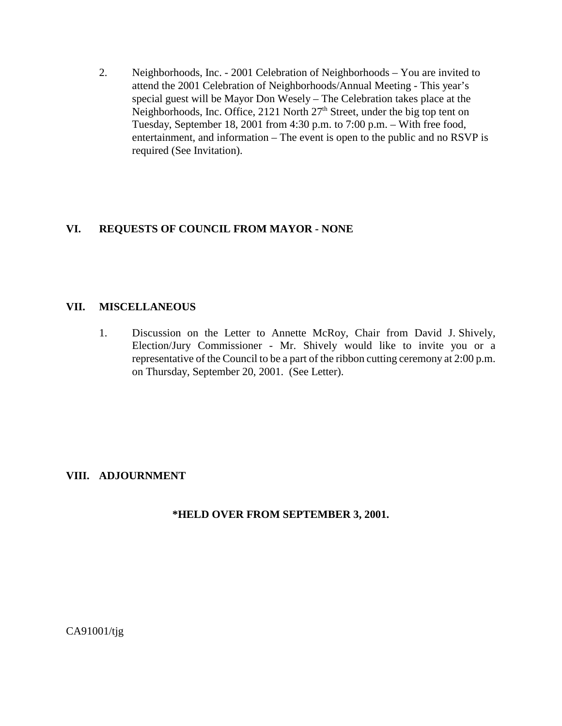2. Neighborhoods, Inc. - 2001 Celebration of Neighborhoods – You are invited to attend the 2001 Celebration of Neighborhoods/Annual Meeting - This year's special guest will be Mayor Don Wesely – The Celebration takes place at the Neighborhoods, Inc. Office, 2121 North 27<sup>th</sup> Street, under the big top tent on Tuesday, September 18, 2001 from 4:30 p.m. to 7:00 p.m. – With free food, entertainment, and information – The event is open to the public and no RSVP is required (See Invitation).

## **VI. REQUESTS OF COUNCIL FROM MAYOR - NONE**

### **VII. MISCELLANEOUS**

1. Discussion on the Letter to Annette McRoy, Chair from David J. Shively, Election/Jury Commissioner - Mr. Shively would like to invite you or a representative of the Council to be a part of the ribbon cutting ceremony at 2:00 p.m. on Thursday, September 20, 2001. (See Letter).

## **VIII. ADJOURNMENT**

**\*HELD OVER FROM SEPTEMBER 3, 2001.**

CA91001/tjg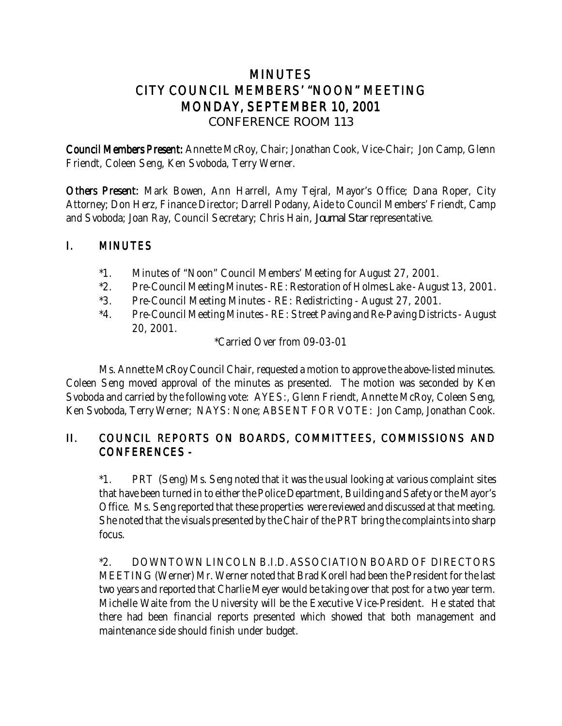# MINUTES CITY COUNCIL MEMBERS' "NOON" MEETING MONDAY, SEPTEMBER 10, 2001 *CONFERENCE ROOM 113*

Council Members Present: Annette McRoy, Chair; Jonathan Cook, Vice-Chair; Jon Camp, Glenn Friendt, Coleen Seng, Ken Svoboda, Terry Werner.

Others Present: Mark Bowen, Ann Harrell, Amy Tejral, Mayor's Office; Dana Roper, City Attorney; Don Herz, Finance Director; Darrell Podany, Aide to Council Members' Friendt, Camp and Svoboda; Joan Ray, Council Secretary; Chris Hain, *Journal Star* representative.

## I. MINUTES

- \*1. Minutes of "Noon" Council Members' Meeting for August 27, 2001.
- \*2. Pre-Council Meeting Minutes RE: Restoration of Holmes Lake August 13, 2001.
- \*3. Pre-Council Meeting Minutes RE: Redistricting August 27, 2001.
- \*4. Pre-Council Meeting Minutes RE: Street Paving and Re-Paving Districts August 20, 2001.

\*Carried Over from 09-03-01

Ms. Annette McRoy Council Chair, requested a motion to approve the above-listed minutes. Coleen Seng moved approval of the minutes as presented. The motion was seconded by Ken Svoboda and carried by the following vote: AYES:, Glenn Friendt, Annette McRoy, Coleen Seng, Ken Svoboda, Terry Werner; NAYS: None; ABSENT FOR VOTE: Jon Camp, Jonathan Cook.

## II. COUNCIL REPORTS ON BOARDS, COMMITTEES, COMMISSIONS AND CONFERENCES -

\*1. PRT (Seng) Ms. Seng noted that it was the usual looking at various complaint sites that have been turned in to either the Police Department, Building and Safety or the Mayor's Office. Ms. Seng reported that these properties were reviewed and discussed at that meeting. She noted that the visuals presented by the Chair of the PRT bring the complaints into sharp focus.

\*2. DOWNTOWN LINCOLN B.I.D. ASSOCIATION BOARD OF DIRECTORS MEETING (Werner) Mr. Werner noted that Brad Korell had been the President for the last two years and reported that Charlie Meyer would be taking over that post for a two year term. Michelle Waite from the University will be the Executive Vice-President. He stated that there had been financial reports presented which showed that both management and maintenance side should finish under budget.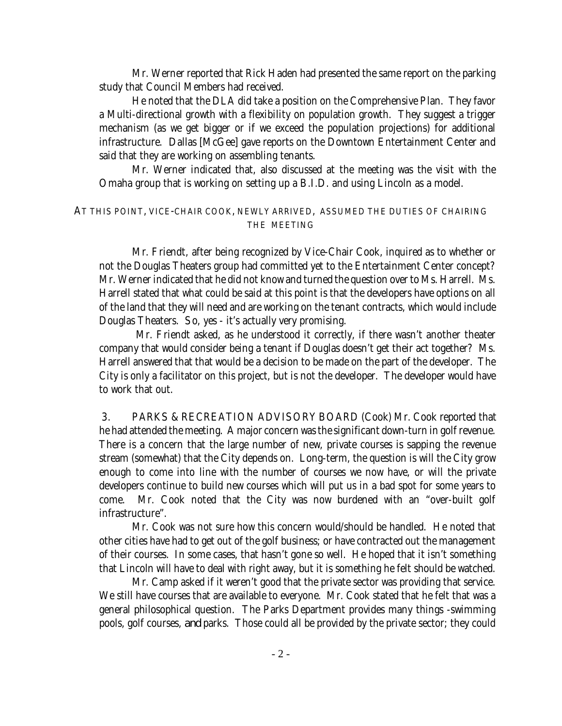Mr. Werner reported that Rick Haden had presented the same report on the parking study that Council Members had received.

He noted that the DLA did take a position on the Comprehensive Plan. They favor a Multi-directional growth with a flexibility on population growth. They suggest a trigger mechanism (as we get bigger or if we exceed the population projections) for additional infrastructure. Dallas [McGee] gave reports on the Downtown Entertainment Center and said that they are working on assembling tenants.

Mr. Werner indicated that, also discussed at the meeting was the visit with the Omaha group that is working on setting up a B.I.D. and using Lincoln as a model.

#### AT THIS POINT, VICE-CHAIR COOK, NEWLY ARRIVED, ASSUMED THE DUTIES OF CHAIRING THE MEETING

Mr. Friendt, after being recognized by Vice-Chair Cook, inquired as to whether or not the Douglas Theaters group had committed yet to the Entertainment Center concept? Mr. Werner indicated that he did not know and turned the question over to Ms. Harrell. Ms. Harrell stated that what could be said at this point is that the developers have options on all of the land that they will need and are working on the tenant contracts, which would include Douglas Theaters. So, yes - it's actually very promising.

 Mr. Friendt asked, as he understood it correctly, if there wasn't another theater company that would consider being a tenant if Douglas doesn't get their act together? Ms. Harrell answered that that would be a decision to be made on the part of the developer. The City is only a facilitator on this project, but is not the developer. The developer would have to work that out.

 3. PARKS & RECREATION ADVISORY BOARD (Cook) Mr. Cook reported that he had attended the meeting. A major concern was the significant down-turn in golf revenue. There is a concern that the large number of new, private courses is sapping the revenue stream (somewhat) that the City depends on. Long-term, the question is will the City grow enough to come into line with the number of courses we now have, or will the private developers continue to build new courses which will put us in a bad spot for some years to come. Mr. Cook noted that the City was now burdened with an "over-built golf infrastructure".

Mr. Cook was not sure how this concern would/should be handled. He noted that other cities have had to get out of the golf business; or have contracted out the management of their courses. In some cases, that hasn't gone so well. He hoped that it isn't something that Lincoln will have to deal with right away, but it is something he felt should be watched.

Mr. Camp asked if it weren't good that the private sector was providing that service. We still have courses that are available to everyone. Mr. Cook stated that he felt that was a general philosophical question. The Parks Department provides many things -swimming pools, golf courses, *and* parks. Those could all be provided by the private sector; they could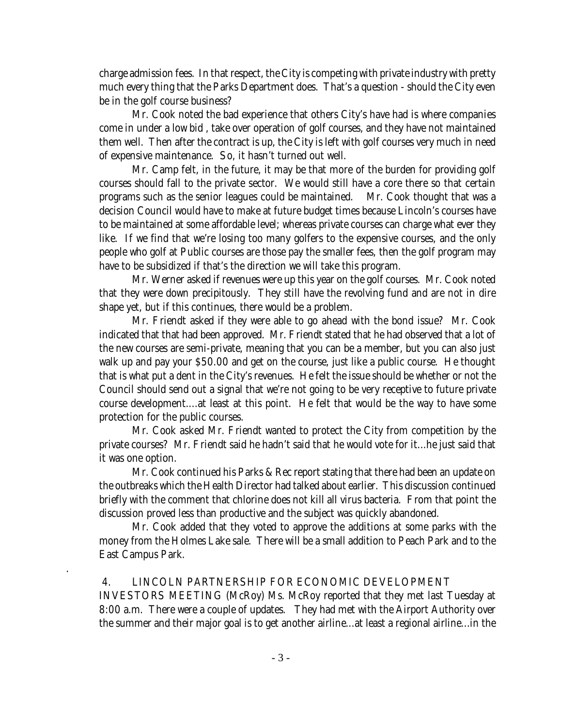charge admission fees. In that respect, the City is competing with private industry with pretty much every thing that the Parks Department does. That's a question - should the City even be in the golf course business?

Mr. Cook noted the bad experience that others City's have had is where companies come in under a low bid , take over operation of golf courses, and they have not maintained them well. Then after the contract is up, the City is left with golf courses very much in need of expensive maintenance. So, it hasn't turned out well.

Mr. Camp felt, in the future, it may be that more of the burden for providing golf courses should fall to the private sector. We would still have a core there so that certain programs such as the senior leagues could be maintained. Mr. Cook thought that was a decision Council would have to make at future budget times because Lincoln's courses have to be maintained at some affordable level; whereas private courses can charge what ever they like. If we find that we're losing too many golfers to the expensive courses, and the only people who golf at Public courses are those pay the smaller fees, then the golf program may have to be subsidized if that's the direction we will take this program.

Mr. Werner asked if revenues were up this year on the golf courses. Mr. Cook noted that they were down precipitously. They still have the revolving fund and are not in dire shape yet, but if this continues, there would be a problem.

Mr. Friendt asked if they were able to go ahead with the bond issue? Mr. Cook indicated that that had been approved. Mr. Friendt stated that he had observed that a lot of the new courses are semi-private, meaning that you can be a member, but you can also just walk up and pay your \$50.00 and get on the course, just like a public course. He thought that is what put a dent in the City's revenues. He felt the issue should be whether or not the Council should send out a signal that we're not going to be very receptive to future private course development....at least at this point. He felt that would be the way to have some protection for the public courses.

Mr. Cook asked Mr. Friendt wanted to protect the City from competition by the private courses? Mr. Friendt said he hadn't said that he would vote for it...he just said that it was one option.

Mr. Cook continued his Parks & Rec report stating that there had been an update on the outbreaks which the Health Director had talked about earlier. This discussion continued briefly with the comment that chlorine does not kill all virus bacteria. From that point the discussion proved less than productive and the subject was quickly abandoned.

Mr. Cook added that they voted to approve the additions at some parks with the money from the Holmes Lake sale. There will be a small addition to Peach Park and to the East Campus Park.

## 4. LINCOLN PARTNERSHIP FOR ECONOMIC DEVELOPMENT

.

INVESTORS MEETING (McRoy) Ms. McRoy reported that they met last Tuesday at 8:00 a.m. There were a couple of updates. They had met with the Airport Authority over the summer and their major goal is to get another airline...at least a regional airline...in the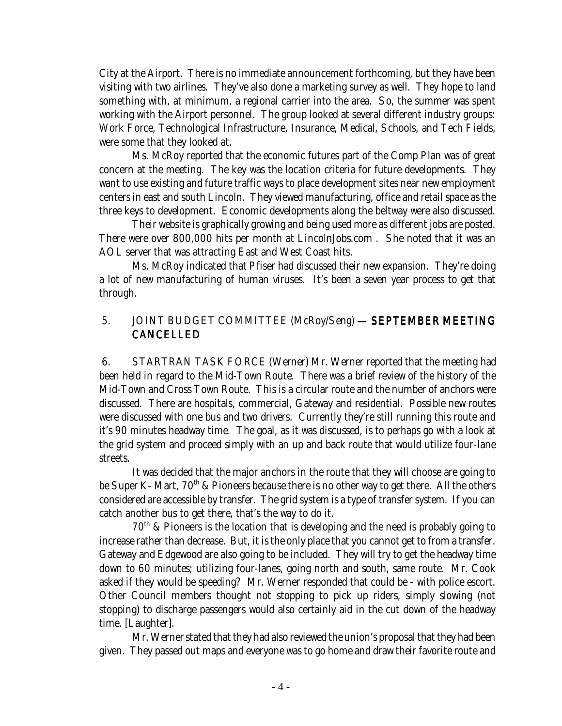City at the Airport. There is no immediate announcement forthcoming, but they have been visiting with two airlines. They've also done a marketing survey as well. They hope to land something with, at minimum, a regional carrier into the area. So, the summer was spent working with the Airport personnel. The group looked at several different industry groups: Work Force, Technological Infrastructure, Insurance, Medical, Schools, and Tech Fields, were some that they looked at.

Ms. McRoy reported that the economic futures part of the Comp Plan was of great concern at the meeting. The key was the location criteria for future developments. They want to use existing and future traffic ways to place development sites near new employment centers in east and south Lincoln. They viewed manufacturing, office and retail space as the three keys to development. Economic developments along the beltway were also discussed.

Their website is graphically growing and being used more as different jobs are posted. There were over 800,000 hits per month at LincolnJobs.com . She noted that it was an AOL server that was attracting East and West Coast hits.

Ms. McRoy indicated that Pfiser had discussed their new expansion. They're doing a lot of new manufacturing of human viruses. It's been a seven year process to get that through.

## 5. JOINT BUDGET COMMITTEE (McRoy/Seng) - SEPTEMBER MEETING CANCELLED

 6. STARTRAN TASK FORCE (Werner) Mr. Werner reported that the meeting had been held in regard to the Mid-Town Route. There was a brief review of the history of the Mid-Town and Cross Town Route. This is a circular route and the number of anchors were discussed. There are hospitals, commercial, Gateway and residential. Possible new routes were discussed with one bus and two drivers. Currently they're still running this route and it's 90 minutes headway time. The goal, as it was discussed, is to perhaps go with a look at the grid system and proceed simply with an up and back route that would utilize four-lane streets.

It was decided that the major anchors in the route that they will choose are going to be Super K- Mart,  $70<sup>th</sup>$  & Pioneers because there is no other way to get there. All the others considered are accessible by transfer. The grid system is a type of transfer system. If you can catch another bus to get there, that's the way to do it.

70th & Pioneers is the location that is developing and the need is probably going to increase rather than decrease. But, it is the only place that you cannot get to from a transfer. Gateway and Edgewood are also going to be included. They will try to get the headway time down to 60 minutes; utilizing four-lanes, going north and south, same route. Mr. Cook asked if they would be speeding? Mr. Werner responded that could be - with police escort. Other Council members thought not stopping to pick up riders, simply slowing (not stopping) to discharge passengers would also certainly aid in the cut down of the headway time. [Laughter].

Mr. Werner stated that they had also reviewed the union's proposal that they had been given. They passed out maps and everyone was to go home and draw their favorite route and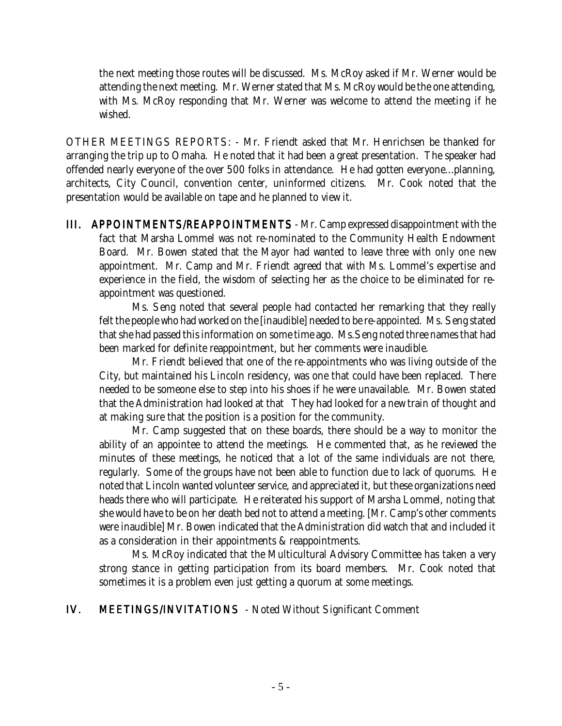the next meeting those routes will be discussed. Ms. McRoy asked if Mr. Werner would be attending the next meeting. Mr. Werner stated that Ms. McRoy would be the one attending, with Ms. McRoy responding that Mr. Werner was welcome to attend the meeting if he wished.

OTHER MEETINGS REPORTS: - Mr. Friendt asked that Mr. Henrichsen be thanked for arranging the trip up to Omaha. He noted that it had been a great presentation. The speaker had offended nearly everyone of the over 500 folks in attendance. He had gotten everyone...planning, architects, City Council, convention center, uninformed citizens. Mr. Cook noted that the presentation would be available on tape and he planned to view it.

III. APPOINTMENTS/REAPPOINTMENTS - Mr. Camp expressed disappointment with the fact that Marsha Lommel was not re-nominated to the Community Health Endowment Board. Mr. Bowen stated that the Mayor had wanted to leave three with only one new appointment. Mr. Camp and Mr. Friendt agreed that with Ms. Lommel's expertise and experience in the field, the wisdom of selecting her as the choice to be eliminated for reappointment was questioned.

Ms. Seng noted that several people had contacted her remarking that they really felt the people who had worked on the [inaudible] needed to be re-appointed. Ms. Seng stated that she had passed this information on some time ago. Ms.Seng noted three names that had been marked for definite reappointment, but her comments were inaudible.

Mr. Friendt believed that one of the re-appointments who was living outside of the City, but maintained his Lincoln residency, was one that could have been replaced. There needed to be someone else to step into his shoes if he were unavailable. Mr. Bowen stated that the Administration had looked at that They had looked for a new train of thought and at making sure that the position is a position for the community.

Mr. Camp suggested that on these boards, there should be a way to monitor the ability of an appointee to attend the meetings. He commented that, as he reviewed the minutes of these meetings, he noticed that a lot of the same individuals are not there, regularly. Some of the groups have not been able to function due to lack of quorums. He noted that Lincoln wanted volunteer service, and appreciated it, but these organizations need heads there who will participate. He reiterated his support of Marsha Lommel, noting that she would have to be on her death bed not to attend a meeting. [Mr. Camp's other comments were inaudible] Mr. Bowen indicated that the Administration did watch that and included it as a consideration in their appointments & reappointments.

Ms. McRoy indicated that the Multicultural Advisory Committee has taken a very strong stance in getting participation from its board members. Mr. Cook noted that sometimes it is a problem even just getting a quorum at some meetings.

## IV. MEETINGS/INVITATIONS - Noted Without Significant Comment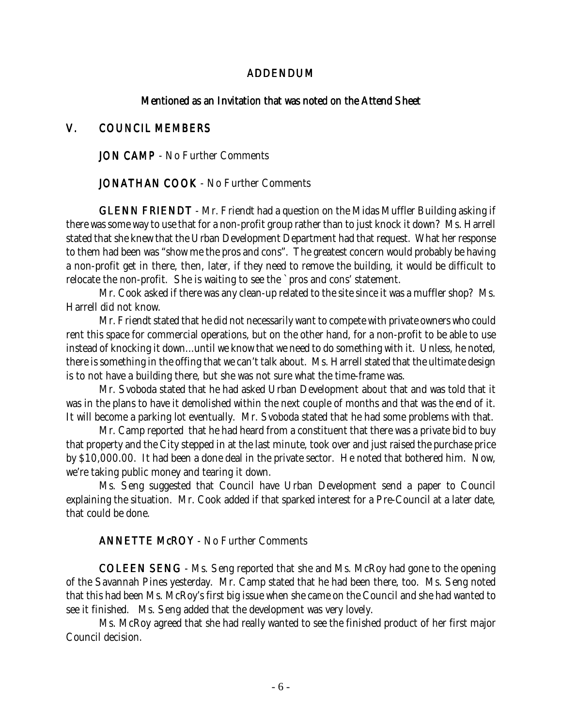### ADDENDUM

#### Mentioned as an Invitation that was noted on the Attend Sheet

### V. COUNCIL MEMBERS

**JON CAMP** - No Further Comments

**JONATHAN COOK - No Further Comments** 

**GLENN FRIENDT** - Mr. Friendt had a question on the Midas Muffler Building asking if there was some way to use that for a non-profit group rather than to just knock it down? Ms. Harrell stated that she knew that the Urban Development Department had that request. What her response to them had been was "show me the pros and cons". The greatest concern would probably be having a non-profit get in there, then, later, if they need to remove the building, it would be difficult to relocate the non-profit. She is waiting to see the `pros and cons' statement.

Mr. Cook asked if there was any clean-up related to the site since it was a muffler shop? Ms. Harrell did not know.

Mr. Friendt stated that he did not necessarily want to compete with private owners who could rent this space for commercial operations, but on the other hand, for a non-profit to be able to use instead of knocking it down...until we know that we need to do something with it. Unless, he noted, there is something in the offing that we can't talk about. Ms. Harrell stated that the ultimate design is to not have a building there, but she was not sure what the time-frame was.

Mr. Svoboda stated that he had asked Urban Development about that and was told that it was in the plans to have it demolished within the next couple of months and that was the end of it. It will become a parking lot eventually. Mr. Svoboda stated that he had some problems with that.

Mr. Camp reported that he had heard from a constituent that there was a private bid to buy that property and the City stepped in at the last minute, took over and just raised the purchase price by \$10,000.00. It had been a done deal in the private sector. He noted that bothered him. Now, we're taking public money and tearing it down.

Ms. Seng suggested that Council have Urban Development send a paper to Council explaining the situation. Mr. Cook added if that sparked interest for a Pre-Council at a later date, that could be done.

#### **ANNETTE McROY - No Further Comments**

COLEEN SENG - Ms. Seng reported that she and Ms. McRoy had gone to the opening of the Savannah Pines yesterday. Mr. Camp stated that he had been there, too. Ms. Seng noted that this had been Ms. McRoy's first big issue when she came on the Council and she had wanted to see it finished. Ms. Seng added that the development was very lovely.

Ms. McRoy agreed that she had really wanted to see the finished product of her first major Council decision.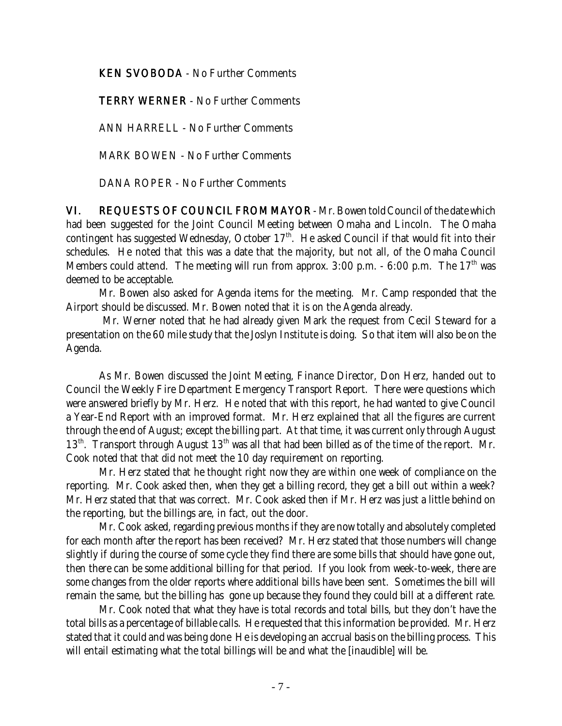**KEN SVOBODA** - No Further Comments

TERRY WERNER - No Further Comments

ANN HARRELL - No Further Comments

MARK BOWEN - No Further Comments

DANA ROPER - No Further Comments

VI. REQUESTS OF COUNCIL FROM MAYOR - Mr. Bowen told Council of the date which had been suggested for the Joint Council Meeting between Omaha and Lincoln. The Omaha contingent has suggested Wednesday, October  $17<sup>th</sup>$ . He asked Council if that would fit into their schedules. He noted that this was a date that the majority, but not all, of the Omaha Council Members could attend. The meeting will run from approx. 3:00 p.m. - 6:00 p.m. The  $17<sup>th</sup>$  was deemed to be acceptable.

Mr. Bowen also asked for Agenda items for the meeting. Mr. Camp responded that the Airport should be discussed. Mr. Bowen noted that it is on the Agenda already.

 Mr. Werner noted that he had already given Mark the request from Cecil Steward for a presentation on the 60 mile study that the Joslyn Institute is doing. So that item will also be on the Agenda.

As Mr. Bowen discussed the Joint Meeting, Finance Director, Don Herz, handed out to Council the Weekly Fire Department Emergency Transport Report. There were questions which were answered briefly by Mr. Herz. He noted that with this report, he had wanted to give Council a Year-End Report with an improved format. Mr. Herz explained that all the figures are current through the end of August; except the billing part. At that time, it was current only through August 13<sup>th</sup>. Transport through August 13<sup>th</sup> was all that had been billed as of the time of the report. Mr. Cook noted that that did not meet the 10 day requirement on reporting.

Mr. Herz stated that he thought right now they are within one week of compliance on the reporting. Mr. Cook asked then, when they get a billing record, they get a bill out within a week? Mr. Herz stated that that was correct. Mr. Cook asked then if Mr. Herz was just a little behind on the reporting, but the billings are, in fact, out the door.

Mr. Cook asked, regarding previous months if they are now totally and absolutely completed for each month after the report has been received? Mr. Herz stated that those numbers will change slightly if during the course of some cycle they find there are some bills that should have gone out, then there can be some additional billing for that period. If you look from week-to-week, there are some changes from the older reports where additional bills have been sent. Sometimes the bill will remain the same, but the billing has gone up because they found they could bill at a different rate.

Mr. Cook noted that what they have is total records and total bills, but they don't have the total bills as a percentage of billable calls. He requested that this information be provided. Mr. Herz stated that it could and was being done He is developing an accrual basis on the billing process. This will entail estimating what the total billings will be and what the [inaudible] will be.